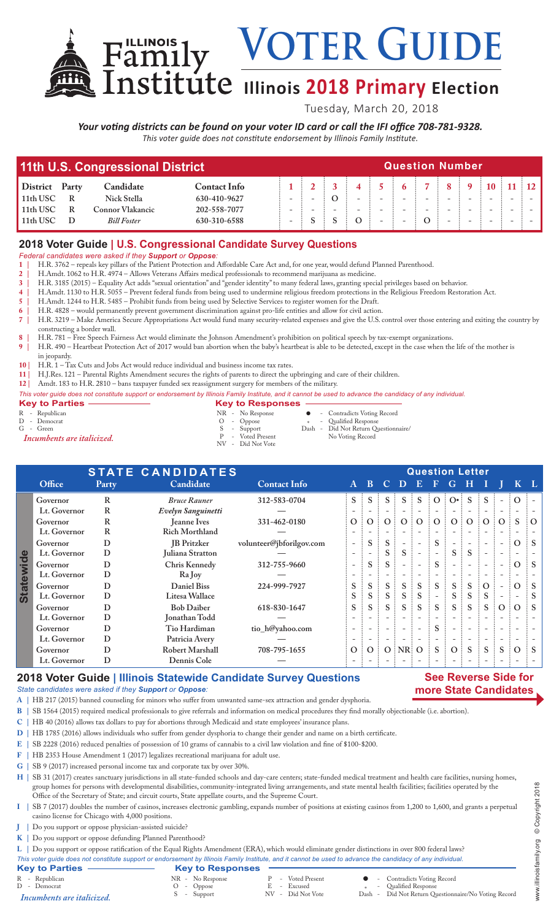VOTER GUIDE

# **Illinois 2018 Primary Election**

Tuesday, March 20, 2018

### *Your voting districts can be found on your voter ID card or call the IFI office 708-781-9328.*

*This voter guide does not constitute endorsement by Illinois Family Institute.*

| 11th U.S. Congressional District |       |                    |                     |                          |  | <b>Question Number</b> |                          |  |  |  |  |  |          |  |  |  |  |  |  |
|----------------------------------|-------|--------------------|---------------------|--------------------------|--|------------------------|--------------------------|--|--|--|--|--|----------|--|--|--|--|--|--|
| <b>District</b>                  | Party | Candidate          | <b>Contact Info</b> |                          |  |                        |                          |  |  |  |  |  | $\pm 10$ |  |  |  |  |  |  |
| 11th USC                         |       | Nick Stella        | 630-410-9627        |                          |  |                        | $\overline{\phantom{0}}$ |  |  |  |  |  |          |  |  |  |  |  |  |
| 11th USC                         |       | Connor Vlakancic   | 202-558-7077        | $\overline{\phantom{0}}$ |  |                        | $\overline{\phantom{0}}$ |  |  |  |  |  |          |  |  |  |  |  |  |
| 11th USC                         |       | <b>Bill Foster</b> | 630-310-6588        |                          |  |                        |                          |  |  |  |  |  |          |  |  |  |  |  |  |

## **2018 Voter Guide | U.S. Congressional Candidate Survey Questions**

*Federal candidates were asked if they Support or Oppose:*

- **1 |** H.R. 3762 repeals key pillars of the Patient Protection and Affordable Care Act and, for one year, would defund Planned Parenthood.
- **2 |** H.Amdt. 1062 to H.R. 4974 Allows Veterans Affairs medical professionals to recommend marijuana as medicine.
- **3 |** H.R. 3185 (2015) Equality Act adds "sexual orientation" and "gender identity" to many federal laws, granting special privileges based on behavior.
- **4 |** H.Amdt. 1130 to H.R. 5055 Prevent federal funds from being used to undermine religious freedom protections in the Religious Freedom Restoration Act.
- **5 |** H.Amdt. 1244 to H.R. 5485 Prohibit funds from being used by Selective Services to register women for the Draft.
- **6 |** H.R. 4828 would permanently prevent government discrimination against pro-life entities and allow for civil action. **7 |** H.R. 3219 – Make America Secure Appropriations Act would fund many security-related expenses and give the U.S. control over those entering and exiting the country by constructing a border wall.
- **8 |** H.R. 781 Free Speech Fairness Act would eliminate the Johnson Amendment's prohibition on political speech by tax-exempt organizations.
- **9 |** H.R. 490 Heartbeat Protection Act of 2017 would ban abortion when the baby's heartbeat is able to be detected, except in the case when the life of the mother is in jeopardy.
- **10 |** H.R. 1 Tax Cuts and Jobs Act would reduce individual and business income tax rates.
- **11 |** H.J.Res. 121 Parental Rights Amendment secures the rights of parents to direct the upbringing and care of their children.
- **12 |** Amdt. 183 to H.R. 2810 bans taxpayer funded sex reassignment surgery for members of the military.

# *This voter guide does not constitute support or endorsement by Illinois Family Institute, and it cannot be used to advance the candidacy of any individual.*

**Key to Parties — Same Responses**<br>
R - Republican<br>
R - No Response NR - No Response  $\bullet$  - Contradicts Voting Record<br>  $\bullet$  - Oppose  $\bullet$  - Qualified Response N - Democrat O - Oppose \* -<br>
G - Green S - Support Dash -<br> *D - Democrat* O - Oppose \* -<br> *D - Voted Present* Dash -<br> *P* - Voted Present Did Not Return Questionnaire/<br>No Voting Record P - Voted Present No Voting Record *Incumbents are italicized.* NV - Did Not Vote

|                  | <b>STATE CANDIDATES</b> |              |                       |                          | <b>Question Letter</b>   |                          |       |                          |                          |             |                |                          |                          |                          |                |                |  |
|------------------|-------------------------|--------------|-----------------------|--------------------------|--------------------------|--------------------------|-------|--------------------------|--------------------------|-------------|----------------|--------------------------|--------------------------|--------------------------|----------------|----------------|--|
|                  | Office                  | <b>Party</b> | Candidate             | <b>Contact Info</b>      | A                        | 437                      |       | $C$ D                    | $E_{\perp}$              | $\mathbf F$ | G              | H                        |                          |                          |                | $K^{\dagger}L$ |  |
| <b>Statewide</b> | Governor                | R            | <b>Bruce Rauner</b>   | 312-583-0704             | $S$ :                    | S                        |       | S                        | S                        | O:          | $O^{\bullet}$  | <sub>S</sub>             | S                        |                          | $\Omega$       |                |  |
|                  | Lt. Governor            | R            | Evelyn Sanguinetti    |                          |                          |                          |       |                          |                          |             |                |                          |                          |                          |                |                |  |
|                  | Governor                | R            | <b>Jeanne Ives</b>    | 331-462-0180             | $\overline{O}$ :         | $\Omega$                 | O:    | O:O                      |                          | O:          |                | 0:0:0:                   |                          | $\Omega$                 | <sup>S</sup>   | $\Omega$       |  |
|                  | Lt. Governor            | R            | <b>Rich Morthland</b> |                          |                          |                          |       |                          |                          |             |                |                          |                          |                          |                |                |  |
|                  | Governor                | D            | <b>IB</b> Pritzker    | volunteer@jbforilgov.com |                          | S                        | S:    |                          | $\overline{\phantom{a}}$ | S           |                |                          |                          |                          | $\Omega$       | $\therefore$ S |  |
|                  | Lt. Governor            | D            | Juliana Stratton      |                          |                          |                          |       | S.                       |                          |             | $S$ :          | <sub>S</sub>             | $\overline{\phantom{a}}$ |                          |                |                |  |
|                  | Governor                | D            | Chris Kennedy         | 312-755-9660             |                          | S                        | S.    |                          | $\overline{\phantom{a}}$ | $S$ :       |                |                          |                          |                          | $\Omega$       | $\therefore$ S |  |
|                  | Lt. Governor            | D            | Ra Joy                |                          |                          |                          |       |                          |                          |             |                |                          |                          |                          |                |                |  |
|                  | Governor                | D            | <b>Daniel Biss</b>    | 224-999-7927             | S.                       | S                        | S :   | S                        | S                        | $S_{-}$     | $S$ :          | S                        | $: \mathcal{O}:$         |                          | $\overline{O}$ |                |  |
|                  | Lt. Governor            | D            | Litesa Wallace        |                          | S                        | S                        | S.    | S                        | S                        |             | S              | S                        | S                        |                          |                |                |  |
|                  | Governor                | D            | <b>Bob Daiber</b>     | 618-830-1647             | S                        | S                        | $S$ : | S                        | $\vdots$ S               | S.          |                | $S \nvert S$             |                          | S:O:O                    |                | $\therefore$ S |  |
|                  | Lt. Governor            | D            | Jonathan Todd         |                          |                          |                          |       | $\overline{\phantom{0}}$ |                          |             |                |                          |                          |                          |                |                |  |
|                  | Governor                | D            | Tio Hardiman          | tio_h@yahoo.com          | $\overline{\phantom{a}}$ |                          |       |                          |                          | S.          |                |                          |                          |                          |                |                |  |
|                  | Lt. Governor            | D            | Patricia Avery        |                          | $\overline{\phantom{a}}$ | $\overline{\phantom{a}}$ |       | $-$                      | $\overline{\phantom{a}}$ |             | $-$            | $\overline{\phantom{a}}$ |                          | $\overline{\phantom{a}}$ |                |                |  |
|                  | Governor                | D            | Robert Marshall       | 708-795-1655             | $\overline{O}$ :         | $\Omega$                 |       | $O$ : NR: O              |                          | S           | O <sup>1</sup> | S                        | S                        | S                        | $\Omega$       |                |  |
|                  | Lt. Governor            | D            | Dennis Cole           |                          |                          |                          |       |                          |                          |             |                |                          |                          |                          |                |                |  |

### **2018 Voter Guide | Illinois Statewide Candidate Survey Questions**

### **See Reverse Side for more State Candidates**

*State candidates were asked if they Support or Oppose:*

**A |** HB 217 (2015) banned counseling for minors who suffer from unwanted same-sex attraction and gender dysphoria.

- **B |** SB 1564 (2015) required medical professionals to give referrals and information on medical procedures they find morally objectionable (i.e. abortion).
- **C |** HB 40 (2016) allows tax dollars to pay for abortions through Medicaid and state employees' insurance plans.
- **D |** HB 1785 (2016) allows individuals who suffer from gender dysphoria to change their gender and name on a birth certificate.
- **E |** SB 2228 (2016) reduced penalties of possession of 10 grams of cannabis to a civil law violation and fine of \$100-\$200.<br>**F |** HB 2353 House Amendment 1 (2017) legalizes recreational marijuana for adult use.
- **F |** HB 2353 House Amendment 1 (2017) legalizes recreational marijuana for adult use.
- **G |** SB 9 (2017) increased personal income tax and corporate tax by over 30%.

H | SB 31 (2017) creates sanctuary jurisdictions in all state-funded schools and day-care centers; state-funded medical treatment and health care facilities, nursing homes, group homes for persons with developmental disabilities, community-integrated living arrangements, and state mental health facilities; facilities operated by the Office of the Secretary of State; and circuit courts, State appellate courts, and the Supreme Court.

- **I |** SB 7 (2017) doubles the number of casinos, increases electronic gambling, expands number of positions at existing casinos from 1,200 to 1,600, and grants a perpetual casino license for Chicago with 4,000 positions.
- **J |** Do you support or oppose physician-assisted suicide?
- **K |** Do you support or oppose defunding Planned Parenthood?

**L |** Do you support or oppose ratification of the Equal Rights Amendment (ERA), which would eliminate gender distinctions in over 800 federal laws?

| This voter guide does not constitute support or endorsement by Illinois Family Institute, and it cannot be used to advance the candidacy of any individual. |                         |                   |                                                      |
|-------------------------------------------------------------------------------------------------------------------------------------------------------------|-------------------------|-------------------|------------------------------------------------------|
| <b>Key to Parties</b>                                                                                                                                       | <b>Key to Responses</b> |                   |                                                      |
| R - Republican                                                                                                                                              | NR - No Response        | - Voted Present   | • Contradicts Voting Record                          |
| D - Democrat                                                                                                                                                | - Oppose                | E - Excused       | - Qualified Response                                 |
| Incumbents are <i>italicized</i> .                                                                                                                          | S - Support             | NV - Did Not Vote | Dash - Did Not Return Questionnaire/No Voting Record |